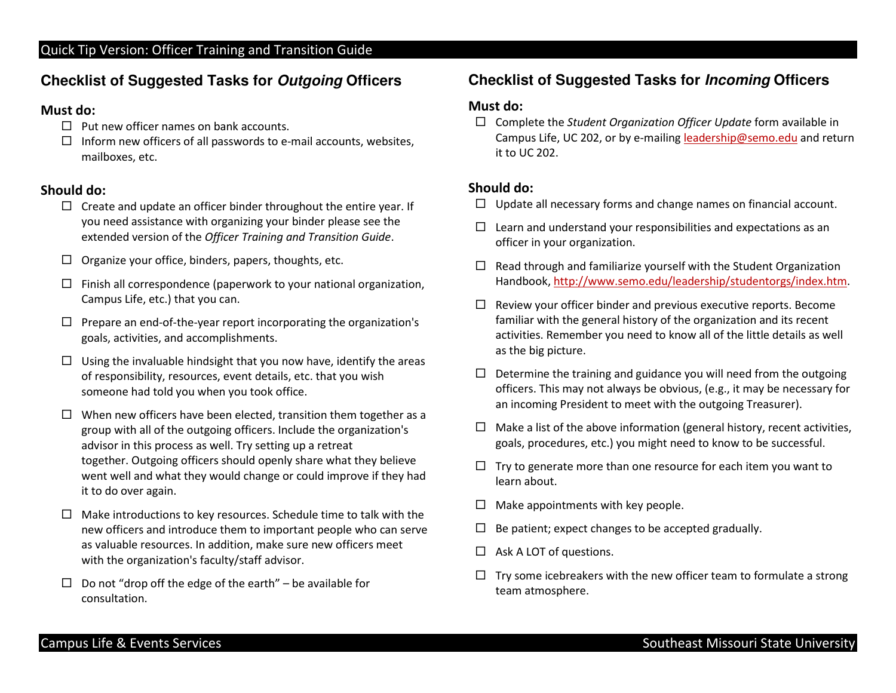## **Checklist of Suggested Tasks for Outgoing Officers**

#### Must do:

- $\Box$  Put new officer names on bank accounts.
- $\Box$  Inform new officers of all passwords to e-mail accounts, websites, mailboxes, etc.

### Should do:

- $\Box$  Create and update an officer binder [throughout](https://Createandupdateanofficerbinderthroughouttheentireyear.If) the entire year. If you need assistance with organizing your binder please see the extended version of the Officer Training and Transition Guide.
- $\Box$  Organize your office, binders, papers, thoughts, etc.
- $\Box$  Finish all correspondence (paperwork to your national organization, Campus Life, etc.) that you can.
- $\Box$  Prepare an end-of-the-year report incorporating the organization's goals, activities, and accomplishments.
- $\Box$  Using the invaluable hindsight that you now have, identify the areas of responsibility, resources, event details, etc. that you wish someone had told you when you took office.
- $\Box$  When new officers have been elected, transition them together as a group with all of the outgoing officers. Include the organization's advisor in this process as well. Try setting up <sup>a</sup> retreat together. Outgoing officers should openly share what they believe went well and what they would change or could improve if they had it to do over again.
- $\Box$  Make introductions to key resources. Schedule time to talk with the new officers and introduce them to important people who can serve as valuable resources. In addition, make sure new officers meet with the organization's faculty/staff advisor.
- $\Box$  Do not "drop off the edge of the earth" be available for consultation.

## **Checklist of Suggested Tasks for Incoming Officers**

#### Must do:

 $\Box$  Complete the Student Organization Officer Update form available in Campus Life, UC 202, or by e-mailing leadership@semo.edu and return it to UC 202.

#### Should do:

- $\Box$  Update all necessary forms and change names on financial account.
- $\Box$  Learn and understand your responsibilities and expectations as an officer in your organization.
- $\Box$  Read through and familiarize yourself with the Student Organization Handbook, [http://www.semo.edu/leadership/studentorgs/index.htm](https://Handbook,http://www.semo.edu/leadership/studentorgs/index.htm).
- $\Box$  Review your officer binder and previous executive reports. Become familiar with the general history of the organization and its recent activities. Remember you need to know all of the little details as well as the big picture.
- $\Box$  Determine the training and guidance you will need from the outgoing officers. This may not always be obvious, (e.g., it may be necessary for an incoming President to meet with the outgoing Treasurer).
- $\Box$  Make a list of the above information (general history, recent activities, goals, procedures, etc.) you might need to know to be successful.
- $\Box$  Try to generate more than one resource for each item you want to learn about.
- $\Box$  Make appointments with key people.
- $\Box$  Be patient; expect changes to be accepted gradually.
- $\Box$  Ask A LOT of questions.
- $\Box$  Try some icebreakers with the new officer team to formulate a strong team atmosphere.